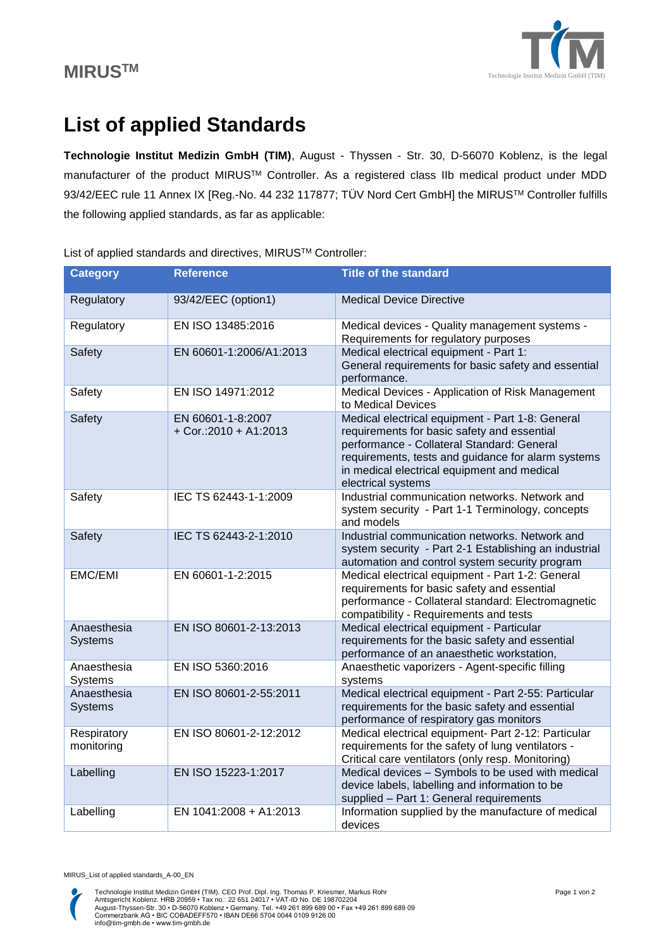

## **List of applied Standards**

**Technologie Institut Medizin GmbH (TIM)**, August - Thyssen - Str. 30, D-56070 Koblenz, is the legal manufacturer of the product MIRUSTM Controller. As a registered class IIb medical product under MDD 93/42/EEC rule 11 Annex IX [Reg.-No. 44 232 117877; TÜV Nord Cert GmbH] the MIRUS™ Controller fulfills the following applied standards, as far as applicable:

| <b>Category</b>               | <b>Reference</b>                             | <b>Title of the standard</b>                                                                                                                                                                                                                                             |
|-------------------------------|----------------------------------------------|--------------------------------------------------------------------------------------------------------------------------------------------------------------------------------------------------------------------------------------------------------------------------|
| Regulatory                    | 93/42/EEC (option1)                          | <b>Medical Device Directive</b>                                                                                                                                                                                                                                          |
| Regulatory                    | EN ISO 13485:2016                            | Medical devices - Quality management systems -<br>Requirements for regulatory purposes                                                                                                                                                                                   |
| Safety                        | EN 60601-1:2006/A1:2013                      | Medical electrical equipment - Part 1:<br>General requirements for basic safety and essential<br>performance.                                                                                                                                                            |
| Safety                        | EN ISO 14971:2012                            | Medical Devices - Application of Risk Management<br>to Medical Devices                                                                                                                                                                                                   |
| Safety                        | EN 60601-1-8:2007<br>$+$ Cor.:2010 + A1:2013 | Medical electrical equipment - Part 1-8: General<br>requirements for basic safety and essential<br>performance - Collateral Standard: General<br>requirements, tests and guidance for alarm systems<br>in medical electrical equipment and medical<br>electrical systems |
| Safety                        | IEC TS 62443-1-1:2009                        | Industrial communication networks. Network and<br>system security - Part 1-1 Terminology, concepts<br>and models                                                                                                                                                         |
| Safety                        | IEC TS 62443-2-1:2010                        | Industrial communication networks. Network and<br>system security - Part 2-1 Establishing an industrial<br>automation and control system security program                                                                                                                |
| <b>EMC/EMI</b>                | EN 60601-1-2:2015                            | Medical electrical equipment - Part 1-2: General<br>requirements for basic safety and essential<br>performance - Collateral standard: Electromagnetic<br>compatibility - Requirements and tests                                                                          |
| Anaesthesia<br><b>Systems</b> | EN ISO 80601-2-13:2013                       | Medical electrical equipment - Particular<br>requirements for the basic safety and essential<br>performance of an anaesthetic workstation,                                                                                                                               |
| Anaesthesia<br>Systems        | EN ISO 5360:2016                             | Anaesthetic vaporizers - Agent-specific filling<br>systems                                                                                                                                                                                                               |
| Anaesthesia<br><b>Systems</b> | EN ISO 80601-2-55:2011                       | Medical electrical equipment - Part 2-55: Particular<br>requirements for the basic safety and essential<br>performance of respiratory gas monitors                                                                                                                       |
| Respiratory<br>monitoring     | EN ISO 80601-2-12:2012                       | Medical electrical equipment- Part 2-12: Particular<br>requirements for the safety of lung ventilators -<br>Critical care ventilators (only resp. Monitoring)                                                                                                            |
| Labelling                     | EN ISO 15223-1:2017                          | Medical devices - Symbols to be used with medical<br>device labels, labelling and information to be<br>supplied - Part 1: General requirements                                                                                                                           |
| Labelling                     | EN 1041:2008 + A1:2013                       | Information supplied by the manufacture of medical<br>devices                                                                                                                                                                                                            |

List of applied standards and directives, MIRUS™ Controller:

MIRUS\_List of applied standards\_A-00\_EN

Technologie Institut Medizin GmbH (TIM). CEO Prof. Dipl. Ing. Thomas P. Kriesmer, Markus Rohr<br>Amtsgericht Koblenz. HRB 20959 • Tax no.: 22 651 24017 • VAT-ID No. DE 198702204<br>August-Thyssen-Str. 30 • D-56070 Koblenz • Ger info@tim-gmbh.de • www.tim-gmbh.de